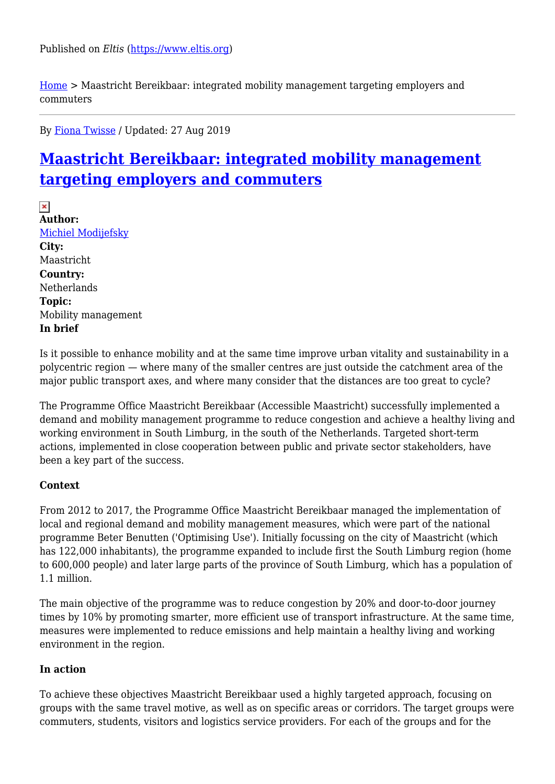[Home](https://www.eltis.org/) > Maastricht Bereikbaar: integrated mobility management targeting employers and commuters

By [Fiona Twisse](https://www.eltis.org/users/fiona-twisse) / Updated: 27 Aug 2019

# **[Maastricht Bereikbaar: integrated mobility management](https://www.eltis.org/discover/case-studies/maastricht-bereikbaar-integrated-mobility-management-targeting-employers-and) [targeting employers and commuters](https://www.eltis.org/discover/case-studies/maastricht-bereikbaar-integrated-mobility-management-targeting-employers-and)**

 $\pmb{\times}$ **Author:**  [Michiel Modijefsky](https://www.eltis.org/users/michiel-modijefsky) **City:**  Maastricht **Country:**  Netherlands **Topic:**  Mobility management **In brief** 

Is it possible to enhance mobility and at the same time improve urban vitality and sustainability in a polycentric region — where many of the smaller centres are just outside the catchment area of the major public transport axes, and where many consider that the distances are too great to cycle?

The Programme Office Maastricht Bereikbaar (Accessible Maastricht) successfully implemented a demand and mobility management programme to reduce congestion and achieve a healthy living and working environment in South Limburg, in the south of the Netherlands. Targeted short-term actions, implemented in close cooperation between public and private sector stakeholders, have been a key part of the success.

## **Context**

From 2012 to 2017, the Programme Office Maastricht Bereikbaar managed the implementation of local and regional demand and mobility management measures, which were part of the national programme Beter Benutten ('Optimising Use'). Initially focussing on the city of Maastricht (which has 122,000 inhabitants), the programme expanded to include first the South Limburg region (home to 600,000 people) and later large parts of the province of South Limburg, which has a population of 1.1 million.

The main objective of the programme was to reduce congestion by 20% and door-to-door journey times by 10% by promoting smarter, more efficient use of transport infrastructure. At the same time, measures were implemented to reduce emissions and help maintain a healthy living and working environment in the region.

#### **In action**

To achieve these objectives Maastricht Bereikbaar used a highly targeted approach, focusing on groups with the same travel motive, as well as on specific areas or corridors. The target groups were commuters, students, visitors and logistics service providers. For each of the groups and for the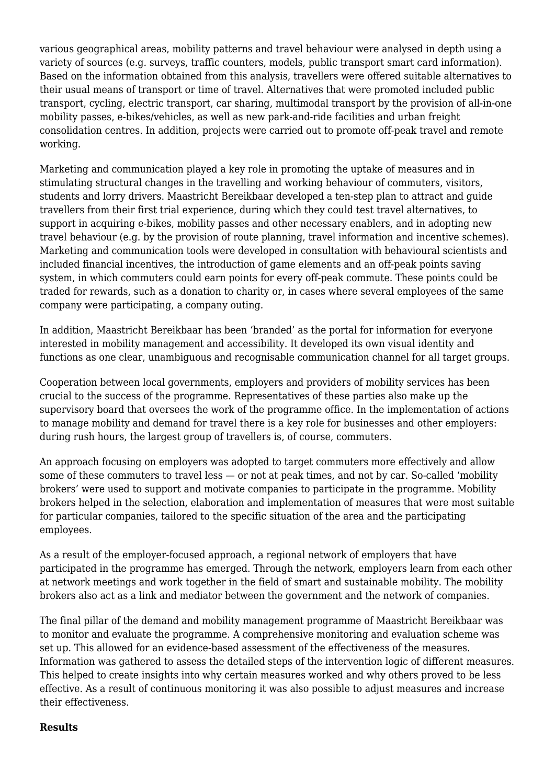various geographical areas, mobility patterns and travel behaviour were analysed in depth using a variety of sources (e.g. surveys, traffic counters, models, public transport smart card information). Based on the information obtained from this analysis, travellers were offered suitable alternatives to their usual means of transport or time of travel. Alternatives that were promoted included public transport, cycling, electric transport, car sharing, multimodal transport by the provision of all-in-one mobility passes, e-bikes/vehicles, as well as new park-and-ride facilities and urban freight consolidation centres. In addition, projects were carried out to promote off-peak travel and remote working.

Marketing and communication played a key role in promoting the uptake of measures and in stimulating structural changes in the travelling and working behaviour of commuters, visitors, students and lorry drivers. Maastricht Bereikbaar developed a ten-step plan to attract and guide travellers from their first trial experience, during which they could test travel alternatives, to support in acquiring e-bikes, mobility passes and other necessary enablers, and in adopting new travel behaviour (e.g. by the provision of route planning, travel information and incentive schemes). Marketing and communication tools were developed in consultation with behavioural scientists and included financial incentives, the introduction of game elements and an off-peak points saving system, in which commuters could earn points for every off-peak commute. These points could be traded for rewards, such as a donation to charity or, in cases where several employees of the same company were participating, a company outing.

In addition, Maastricht Bereikbaar has been 'branded' as the portal for information for everyone interested in mobility management and accessibility. It developed its own visual identity and functions as one clear, unambiguous and recognisable communication channel for all target groups.

Cooperation between local governments, employers and providers of mobility services has been crucial to the success of the programme. Representatives of these parties also make up the supervisory board that oversees the work of the programme office. In the implementation of actions to manage mobility and demand for travel there is a key role for businesses and other employers: during rush hours, the largest group of travellers is, of course, commuters.

An approach focusing on employers was adopted to target commuters more effectively and allow some of these commuters to travel less — or not at peak times, and not by car. So-called 'mobility brokers' were used to support and motivate companies to participate in the programme. Mobility brokers helped in the selection, elaboration and implementation of measures that were most suitable for particular companies, tailored to the specific situation of the area and the participating employees.

As a result of the employer-focused approach, a regional network of employers that have participated in the programme has emerged. Through the network, employers learn from each other at network meetings and work together in the field of smart and sustainable mobility. The mobility brokers also act as a link and mediator between the government and the network of companies.

The final pillar of the demand and mobility management programme of Maastricht Bereikbaar was to monitor and evaluate the programme. A comprehensive monitoring and evaluation scheme was set up. This allowed for an evidence-based assessment of the effectiveness of the measures. Information was gathered to assess the detailed steps of the intervention logic of different measures. This helped to create insights into why certain measures worked and why others proved to be less effective. As a result of continuous monitoring it was also possible to adjust measures and increase their effectiveness.

#### **Results**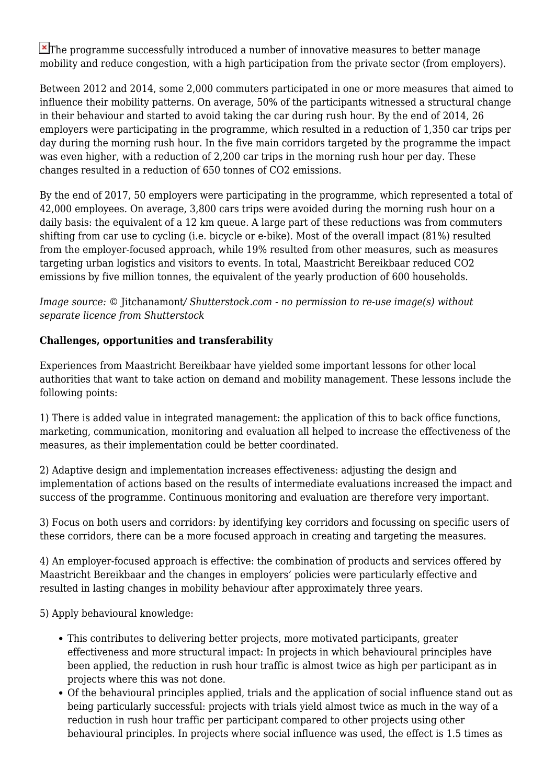$\blacktriangleright$ The programme successfully introduced a number of innovative measures to better manage mobility and reduce congestion, with a high participation from the private sector (from employers).

Between 2012 and 2014, some 2,000 commuters participated in one or more measures that aimed to influence their mobility patterns. On average, 50% of the participants witnessed a structural change in their behaviour and started to avoid taking the car during rush hour. By the end of 2014, 26 employers were participating in the programme, which resulted in a reduction of 1,350 car trips per day during the morning rush hour. In the five main corridors targeted by the programme the impact was even higher, with a reduction of 2,200 car trips in the morning rush hour per day. These changes resulted in a reduction of 650 tonnes of CO2 emissions.

By the end of 2017, 50 employers were participating in the programme, which represented a total of 42,000 employees. On average, 3,800 cars trips were avoided during the morning rush hour on a daily basis: the equivalent of a 12 km queue. A large part of these reductions was from commuters shifting from car use to cycling (i.e. bicycle or e-bike). Most of the overall impact (81%) resulted from the employer-focused approach, while 19% resulted from other measures, such as measures targeting urban logistics and visitors to events. In total, Maastricht Bereikbaar reduced CO2 emissions by five million tonnes, the equivalent of the yearly production of 600 households.

*Image source: ©* Jitchanamont*/ Shutterstock.com - no permission to re-use image(s) without separate licence from Shutterstock*

### **Challenges, opportunities and transferability**

Experiences from Maastricht Bereikbaar have yielded some important lessons for other local authorities that want to take action on demand and mobility management. These lessons include the following points:

1) There is added value in integrated management: the application of this to back office functions, marketing, communication, monitoring and evaluation all helped to increase the effectiveness of the measures, as their implementation could be better coordinated.

2) Adaptive design and implementation increases effectiveness: adjusting the design and implementation of actions based on the results of intermediate evaluations increased the impact and success of the programme. Continuous monitoring and evaluation are therefore very important.

3) Focus on both users and corridors: by identifying key corridors and focussing on specific users of these corridors, there can be a more focused approach in creating and targeting the measures.

4) An employer-focused approach is effective: the combination of products and services offered by Maastricht Bereikbaar and the changes in employers' policies were particularly effective and resulted in lasting changes in mobility behaviour after approximately three years.

5) Apply behavioural knowledge:

- This contributes to delivering better projects, more motivated participants, greater effectiveness and more structural impact: In projects in which behavioural principles have been applied, the reduction in rush hour traffic is almost twice as high per participant as in projects where this was not done.
- Of the behavioural principles applied, trials and the application of social influence stand out as being particularly successful: projects with trials yield almost twice as much in the way of a reduction in rush hour traffic per participant compared to other projects using other behavioural principles. In projects where social influence was used, the effect is 1.5 times as